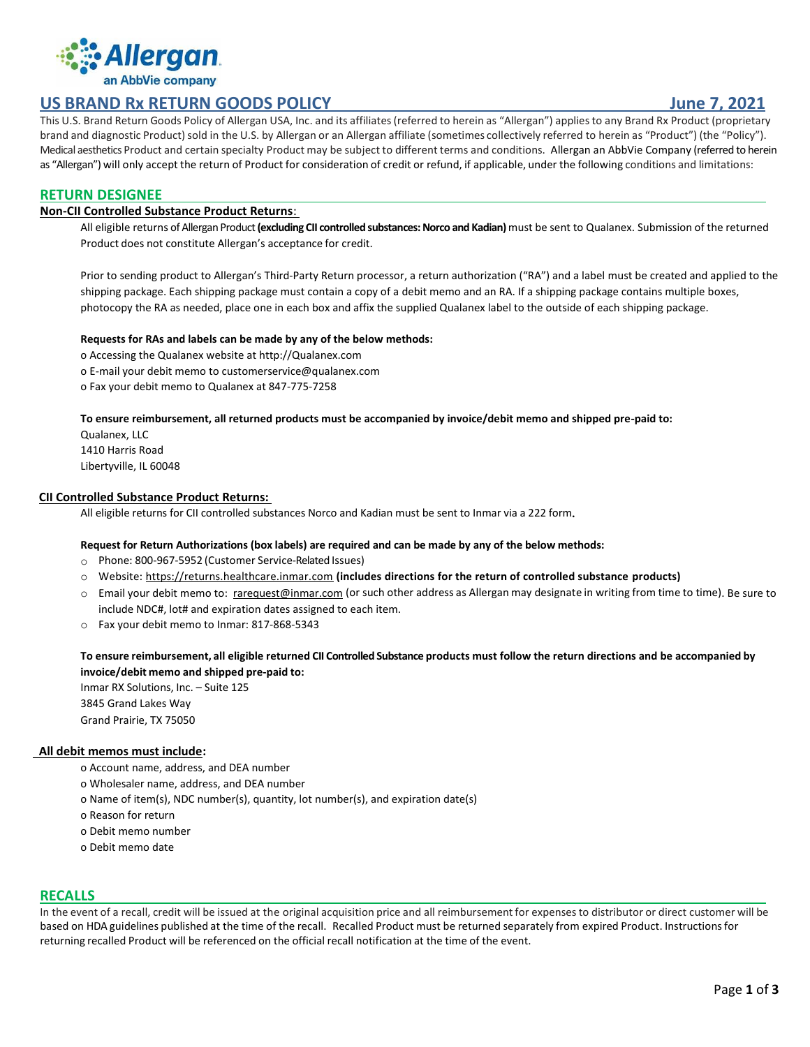

# **US BRAND Rx RETURN GOODS POLICY June 7, 2021**

This U.S. Brand Return Goods Policy of Allergan USA, Inc. and its affiliates(referred to herein as "Allergan") appliesto any Brand Rx Product (proprietary brand and diagnostic Product) sold in the U.S. by Allergan or an Allergan affiliate (sometimes collectively referred to herein as "Product") (the "Policy"). Medical aesthetics Product and certain specialty Product may be subject to different terms and conditions. Allergan an AbbVie Company (referred to herein as "Allergan") will only accept the return of Product for consideration of credit or refund, if applicable, under the following conditions and limitations:

# **RETURN DESIGNEE**

## **Non-CII Controlled Substance Product Returns**:

All eligible returns of Allergan Product **(excluding CII controlled substances: Norco and Kadian)**must be sent to Qualanex. Submission of the returned Product does not constitute Allergan's acceptance for credit.

Prior to sending product to Allergan's Third-Party Return processor, a return authorization ("RA") and a label must be created and applied to the shipping package. Each shipping package must contain a copy of a debit memo and an RA. If a shipping package contains multiple boxes, photocopy the RA as needed, place one in each box and affix the supplied Qualanex label to the outside of each shipping package.

#### **Requests for RAs and labels can be made by any of the below methods:**

o Accessing the Qualanex website at http://Qualanex.com o E-mail your debit memo to customerservice@qualanex.com o Fax your debit memo to Qualanex at 847-775-7258

#### **To ensure reimbursement, all returned products must be accompanied by invoice/debit memo and shipped pre-paid to:**

Qualanex, LLC 1410 Harris Road Libertyville, IL 60048

## **CII Controlled Substance Product Returns:**

All eligible returns for CII controlled substances Norco and Kadian must be sent to Inmar via a 222 form**.**

# **Request for Return Authorizations (box labels) are required and can be made by any of the below methods:**

- o Phone: 800-967-5952 (Customer Service-Related Issues)
- o Website: [https://returns.healthcare.inmar.com](https://returns.healthcare.inmar.com/) **(includes directions for the return of controlled substance products)**
- o Email your debit memo to: [rarequest@inmar.com](mailto:rarequest@inmar.com) (or such other address as Allergan may designate in writing from time to time). Be sure to include NDC#, lot# and expiration dates assigned to each item.
- o Fax your debit memo to Inmar: 817-868-5343

**To ensure reimbursement, all eligible returned CII Controlled Substance products must follow the return directions and be accompanied by invoice/debit memo and shipped pre-paid to:**

Inmar RX Solutions, Inc. – Suite 125 3845 Grand Lakes Way Grand Prairie, TX 75050

## **All debit memos must include:**

- o Account name, address, and DEA number
- o Wholesaler name, address, and DEA number
- o Name of item(s), NDC number(s), quantity, lot number(s), and expiration date(s)
- o Reason for return
- o Debit memo number
- o Debit memo date

## **RECALLS**

In the event of a recall, credit will be issued at the original acquisition price and all reimbursement for expenses to distributor or direct customer will be based on HDA guidelines published at the time of the recall. Recalled Product must be returned separately from expired Product. Instructionsfor returning recalled Product will be referenced on the official recall notification at the time of the event.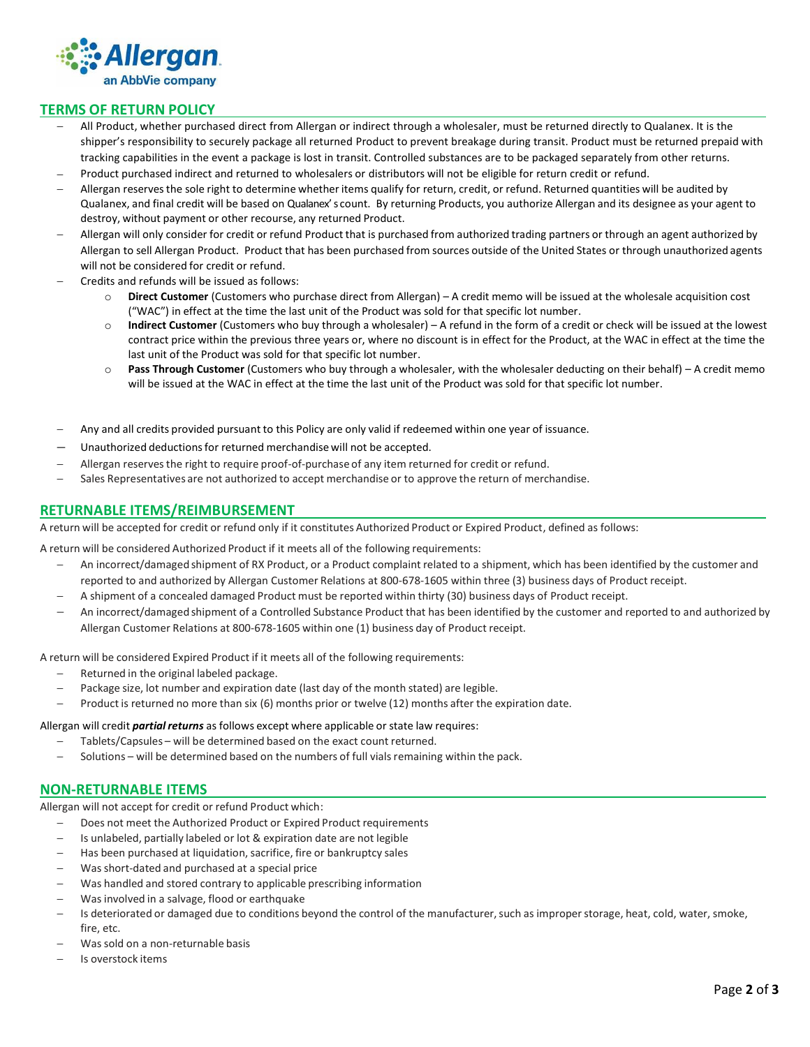

# **TERMS OF RETURN POLICY**

- − All Product, whether purchased direct from Allergan or indirect through a wholesaler, must be returned directly to Qualanex. It is the shipper's responsibility to securely package all returned Product to prevent breakage during transit. Product must be returned prepaid with tracking capabilities in the event a package is lost in transit. Controlled substances are to be packaged separately from other returns.
- − Product purchased indirect and returned to wholesalers or distributors will not be eligible for return credit or refund.
- − Allergan reservesthe sole right to determine whether items qualify for return, credit, or refund. Returned quantities will be audited by Qualanex, and final credit will be based on Qualanex' s count. By returning Products, you authorize Allergan and its designee as your agent to destroy, without payment or other recourse, any returned Product.
- − Allergan will only consider for credit or refund Product that is purchased from authorized trading partners or through an agent authorized by Allergan to sell Allergan Product. Product that has been purchased from sources outside of the United States or through unauthorized agents will not be considered for credit or refund.
- − Credits and refunds will be issued as follows:
	- o **Direct Customer** (Customers who purchase direct from Allergan) A credit memo will be issued at the wholesale acquisition cost ("WAC") in effect at the time the last unit of the Product was sold for that specific lot number.
	- o **Indirect Customer** (Customers who buy through a wholesaler) A refund in the form of a credit or check will be issued at the lowest contract price within the previous three years or, where no discount is in effect for the Product, at the WAC in effect at the time the last unit of the Product was sold for that specific lot number.
	- o **Pass Through Customer** (Customers who buy through a wholesaler, with the wholesaler deducting on their behalf) A credit memo will be issued at the WAC in effect at the time the last unit of the Product was sold for that specific lot number.
- − Any and all credits provided pursuant to this Policy are only valid if redeemed within one year of issuance.
- − Unauthorized deductionsfor returned merchandise will not be accepted.
- − Allergan reservesthe right to require proof-of-purchaseof any item returned for credit or refund.
- Sales Representatives are not authorized to accept merchandise or to approve the return of merchandise.

## **RETURNABLE ITEMS/REIMBURSEMENT**

A return will be accepted for credit or refund only if it constitutes Authorized Product or Expired Product, defined as follows:

A return will be considered Authorized Product if it meets all of the following requirements:

- − An incorrect/damaged shipment of RX Product, or a Product complaint related to a shipment, which has been identified by the customer and reported to and authorized by Allergan Customer Relations at 800-678-1605 within three (3) business days of Product receipt.
- − A shipment of a concealed damaged Product must be reported within thirty (30) business days of Product receipt.
- − An incorrect/damaged shipment of a Controlled Substance Product that has been identified by the customer and reported to and authorized by Allergan Customer Relations at 800-678-1605 within one (1) business day of Product receipt.

A return will be considered Expired Product if it meets all of the following requirements:

- − Returned in the original labeled package.
- − Package size, lot number and expiration date (last day of the month stated) are legible.
- − Product is returned no more than six (6) months prior or twelve (12) months after the expiration date.

#### Allergan will credit *partial returns* as follows except where applicable or state law requires:

- − Tablets/Capsules will be determined based on the exact count returned.
- − Solutions will be determined based on the numbers of full vialsremaining within the pack.

#### **NON-RETURNABLE ITEMS**

Allergan will not accept for credit or refund Product which:

- Does not meet the Authorized Product or Expired Product requirements
- − Is unlabeled, partially labeled or lot & expiration date are not legible
- Has been purchased at liquidation, sacrifice, fire or bankruptcy sales
- Was short-dated and purchased at a special price
- − Was handled and stored contrary to applicable prescribing information
- Was involved in a salvage, flood or earthquake
- Is deteriorated or damaged due to conditions beyond the control of the manufacturer, such as improper storage, heat, cold, water, smoke, fire etc.
- − Was sold on a non-returnable basis
- − Is overstock items